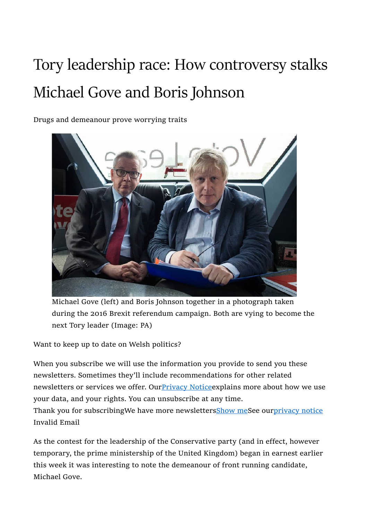## Tory leadership race: How controversy stalks Michael Gove and Boris Johnson

Drugs and demeanour prove worrying traits



Michael Gove (left) and Boris Johnson together in a photograph taken during the 2016 Brexit referendum campaign. Both are vying to become the next Tory leader (Image: PA)

Want to keep up to date on Welsh politics?

When you subscribe we will use the information you provide to send you these newsletters. Sometimes they'll include recommendations for other related newsletters or services we offer. Our Privacy Notice explains more about how we use your data, and your rights. You can unsubscribe at any time. Thank you for subscribingWe have more newslettersShow meSee ourprivacy notice

Invalid Email

As the contest for the leadership of the Conservative party (and in effect, however temporary, the prime ministership of the United Kingdom) began in earnest earlier this week it was interesting to note the demeanour of front running candidate, Michael Gove.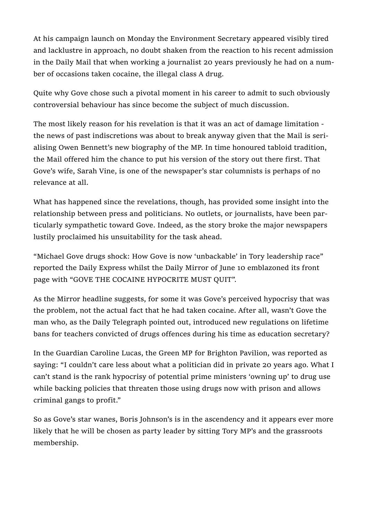At his campaign launch on Monday the Environment Secretary appeared visibly tired and lacklustre in approach, no doubt shaken from the reaction to his recent admission in the Daily Mail that when working a journalist 20 years previously he had on a number of occasions taken cocaine, the illegal class A drug.

Quite why Gove chose such a pivotal moment in his career to admit to such obviously controversial behaviour has since become the subject of much discussion.

The most likely reason for his revelation is that it was an act of damage limitation the news of past indiscretions was about to break anyway given that the Mail is serialising Owen Bennett's new biography of the MP. In time honoured tabloid tradition, the Mail offered him the chance to put his version of the story out there first. That Gove's wife, Sarah Vine, is one of the newspaper's star columnists is perhaps of no relevance at all.

What has happened since the revelations, though, has provided some insight into the relationship between press and politicians. No outlets, or journalists, have been particularly sympathetic toward Gove. Indeed, as the story broke the major newspapers lustily proclaimed his unsuitability for the task ahead.

"Michael Gove drugs shock: How Gove is now 'unbackable' in Tory leadership race" reported the Daily Express whilst the Daily Mirror of June 10 emblazoned its front page with "GOVE THE COCAINE HYPOCRITE MUST QUIT".

As the Mirror headline suggests, for some it was Gove's perceived hypocrisy that was the problem, not the actual fact that he had taken cocaine. After all, wasn't Gove the man who, as the Daily Telegraph pointed out, introduced new regulations on lifetime bans for teachers convicted of drugs offences during his time as education secretary?

In the Guardian Caroline Lucas, the Green MP for Brighton Pavilion, was reported as saying: "I couldn't care less about what a politician did in private 20 years ago. What I can't stand is the rank hypocrisy of potential prime ministers 'owning up' to drug use while backing policies that threaten those using drugs now with prison and allows criminal gangs to profit."

So as Gove's star wanes, Boris Johnson's is in the ascendency and it appears ever more likely that he will be chosen as party leader by sitting Tory MP's and the grassroots membership.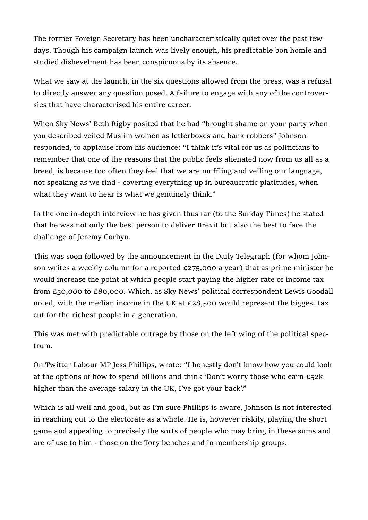The former Foreign Secretary has been uncharacteristically quiet over the past few days. Though his campaign launch was lively enough, his predictable bon homie and studied dishevelment has been conspicuous by its absence.

What we saw at the launch, in the six questions allowed from the press, was a refusal to directly answer any question posed. A failure to engage with any of the controversies that have characterised his entire career.

When Sky News' Beth Rigby posited that he had "brought shame on your party when you described veiled Muslim women as letterboxes and bank robbers" Johnson responded, to applause from his audience: "I think it's vital for us as politicians to remember that one of the reasons that the public feels alienated now from us all as a breed, is because too often they feel that we are muffling and veiling our language, not speaking as we find - covering everything up in bureaucratic platitudes, when what they want to hear is what we genuinely think."

In the one in-depth interview he has given thus far (to the Sunday Times) he stated that he was not only the best person to deliver Brexit but also the best to face the challenge of Jeremy Corbyn.

This was soon followed by the announcement in the Daily Telegraph (for whom Johnson writes a weekly column for a reported £275,000 a year) that as prime minister he would increase the point at which people start paying the higher rate of income tax from £50,000 to £80,000. Which, as Sky News' political correspondent Lewis Goodall noted, with the median income in the UK at £28,500 would represent the biggest tax cut for the richest people in a generation.

This was met with predictable outrage by those on the left wing of the political spectrum.

On Twitter Labour MP Jess Phillips, wrote: "I honestly don't know how you could look at the options of how to spend billions and think 'Don't worry those who earn  $E_52k$ higher than the average salary in the UK, I've got your back'."

Which is all well and good, but as I'm sure Phillips is aware, Johnson is not interested in reaching out to the electorate as a whole. He is, however riskily, playing the short game and appealing to precisely the sorts of people who may bring in these sums and are of use to him - those on the Tory benches and in membership groups.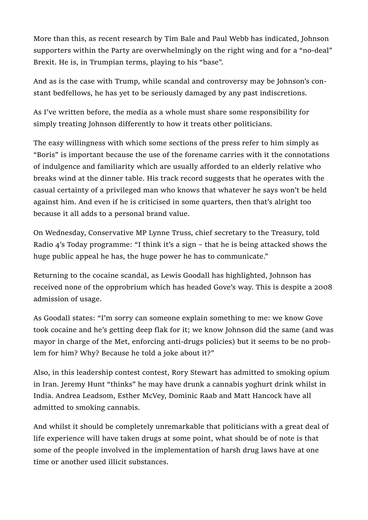More than this, as recent research by Tim Bale and Paul Webb has indicated, Johnson supporters within the Party are overwhelmingly on the right wing and for a "no-deal" Brexit. He is, in Trumpian terms, playing to his "base".

And as is the case with Trump, while scandal and controversy may be Johnson's constant bedfellows, he has yet to be seriously damaged by any past indiscretions.

As I've written before, the media as a whole must share some responsibility for simply treating Johnson differently to how it treats other politicians.

The easy willingness with which some sections of the press refer to him simply as "Boris" is important because the use of the forename carries with it the connotations of indulgence and familiarity which are usually afforded to an elderly relative who breaks wind at the dinner table. His track record suggests that he operates with the casual certainty of a privileged man who knows that whatever he says won't be held against him. And even if he is criticised in some quarters, then that's alright too because it all adds to a personal brand value.

On Wednesday, Conservative MP Lynne Truss, chief secretary to the Treasury, told Radio 4's Today programme: "I think it's a sign – that he is being attacked shows the huge public appeal he has, the huge power he has to communicate."

Returning to the cocaine scandal, as Lewis Goodall has highlighted, Johnson has received none of the opprobrium which has headed Gove's way. This is despite a 2008 admission of usage.

As Goodall states: "I'm sorry can someone explain something to me: we know Gove took cocaine and he's getting deep flak for it; we know Johnson did the same (and was mayor in charge of the Met, enforcing anti-drugs policies) but it seems to be no problem for him? Why? Because he told a joke about it?"

Also, in this leadership contest contest, Rory Stewart has admitted to smoking opium in Iran. Jeremy Hunt "thinks" he may have drunk a cannabis yoghurt drink whilst in India. Andrea Leadsom, Esther McVey, Dominic Raab and Matt Hancock have all admitted to smoking cannabis.

And whilst it should be completely unremarkable that politicians with a great deal of life experience will have taken drugs at some point, what should be of note is that some of the people involved in the implementation of harsh drug laws have at one time or another used illicit substances.